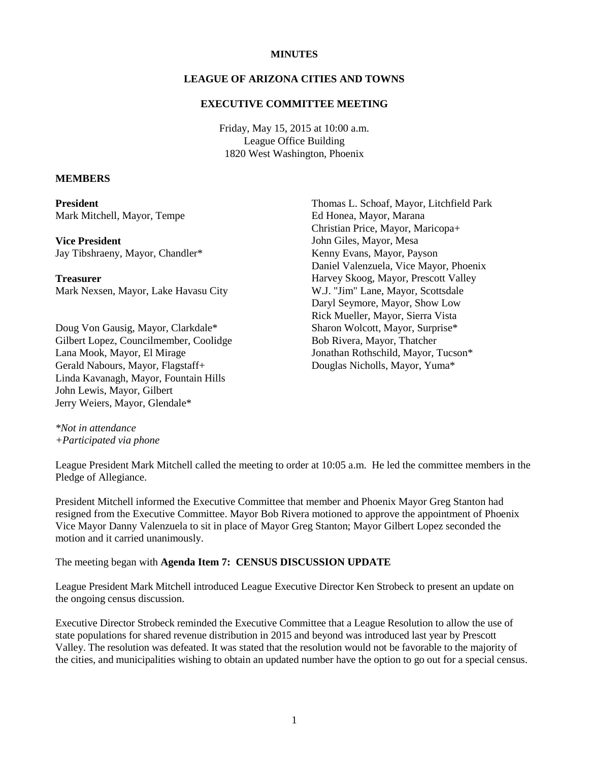### **MINUTES**

### **LEAGUE OF ARIZONA CITIES AND TOWNS**

### **EXECUTIVE COMMITTEE MEETING**

Friday, May 15, 2015 at 10:00 a.m. League Office Building 1820 West Washington, Phoenix

#### **MEMBERS**

**President** Mark Mitchell, Mayor, Tempe

**Vice President**

Jay Tibshraeny, Mayor, Chandler\*

**Treasurer** Mark Nexsen, Mayor, Lake Havasu City

Doug Von Gausig, Mayor, Clarkdale\* Gilbert Lopez, Councilmember, Coolidge Lana Mook, Mayor, El Mirage Gerald Nabours, Mayor, Flagstaff+ Linda Kavanagh, Mayor, Fountain Hills John Lewis, Mayor, Gilbert Jerry Weiers, Mayor, Glendale\*

Thomas L. Schoaf, Mayor, Litchfield Park Ed Honea, Mayor, Marana Christian Price, Mayor, Maricopa+ John Giles, Mayor, Mesa Kenny Evans, Mayor, Payson Daniel Valenzuela, Vice Mayor, Phoenix Harvey Skoog, Mayor, Prescott Valley W.J. "Jim" Lane, Mayor, Scottsdale Daryl Seymore, Mayor, Show Low Rick Mueller, Mayor, Sierra Vista Sharon Wolcott, Mayor, Surprise\* Bob Rivera, Mayor, Thatcher Jonathan Rothschild, Mayor, Tucson\* Douglas Nicholls, Mayor, Yuma\*

*\*Not in attendance +Participated via phone* 

League President Mark Mitchell called the meeting to order at 10:05 a.m. He led the committee members in the Pledge of Allegiance.

President Mitchell informed the Executive Committee that member and Phoenix Mayor Greg Stanton had resigned from the Executive Committee. Mayor Bob Rivera motioned to approve the appointment of Phoenix Vice Mayor Danny Valenzuela to sit in place of Mayor Greg Stanton; Mayor Gilbert Lopez seconded the motion and it carried unanimously.

The meeting began with **Agenda Item 7: CENSUS DISCUSSION UPDATE** 

League President Mark Mitchell introduced League Executive Director Ken Strobeck to present an update on the ongoing census discussion.

Executive Director Strobeck reminded the Executive Committee that a League Resolution to allow the use of state populations for shared revenue distribution in 2015 and beyond was introduced last year by Prescott Valley. The resolution was defeated. It was stated that the resolution would not be favorable to the majority of the cities, and municipalities wishing to obtain an updated number have the option to go out for a special census.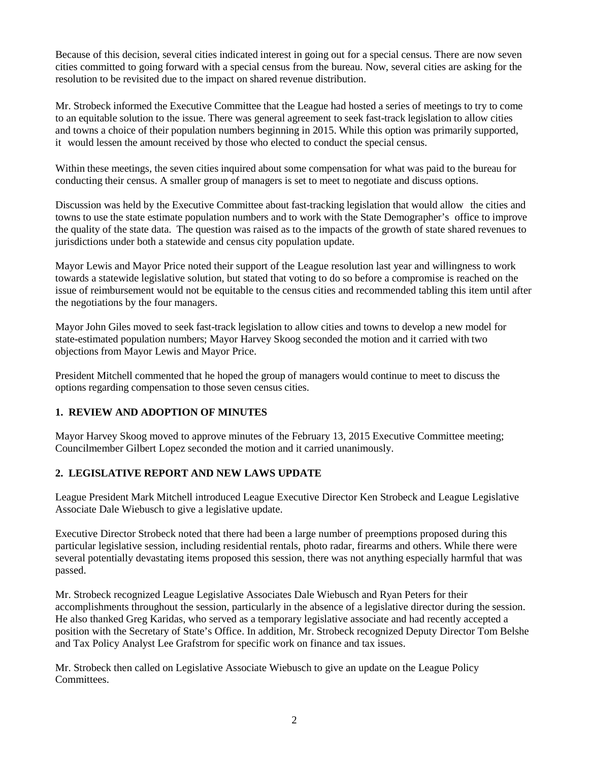Because of this decision, several cities indicated interest in going out for a special census. There are now seven cities committed to going forward with a special census from the bureau. Now, several cities are asking for the resolution to be revisited due to the impact on shared revenue distribution.

Mr. Strobeck informed the Executive Committee that the League had hosted a series of meetings to try to come to an equitable solution to the issue. There was general agreement to seek fast-track legislation to allow cities and towns a choice of their population numbers beginning in 2015. While this option was primarily supported, it would lessen the amount received by those who elected to conduct the special census.

Within these meetings, the seven cities inquired about some compensation for what was paid to the bureau for conducting their census. A smaller group of managers is set to meet to negotiate and discuss options.

Discussion was held by the Executive Committee about fast-tracking legislation that would allow the cities and towns to use the state estimate population numbers and to work with the State Demographer's office to improve the quality of the state data. The question was raised as to the impacts of the growth of state shared revenues to jurisdictions under both a statewide and census city population update.

Mayor Lewis and Mayor Price noted their support of the League resolution last year and willingness to work towards a statewide legislative solution, but stated that voting to do so before a compromise is reached on the issue of reimbursement would not be equitable to the census cities and recommended tabling this item until after the negotiations by the four managers.

Mayor John Giles moved to seek fast-track legislation to allow cities and towns to develop a new model for state-estimated population numbers; Mayor Harvey Skoog seconded the motion and it carried with two objections from Mayor Lewis and Mayor Price.

President Mitchell commented that he hoped the group of managers would continue to meet to discuss the options regarding compensation to those seven census cities.

## **1. REVIEW AND ADOPTION OF MINUTES**

Mayor Harvey Skoog moved to approve minutes of the February 13, 2015 Executive Committee meeting; Councilmember Gilbert Lopez seconded the motion and it carried unanimously.

### **2. LEGISLATIVE REPORT AND NEW LAWS UPDATE**

League President Mark Mitchell introduced League Executive Director Ken Strobeck and League Legislative Associate Dale Wiebusch to give a legislative update.

Executive Director Strobeck noted that there had been a large number of preemptions proposed during this particular legislative session, including residential rentals, photo radar, firearms and others. While there were several potentially devastating items proposed this session, there was not anything especially harmful that was passed.

Mr. Strobeck recognized League Legislative Associates Dale Wiebusch and Ryan Peters for their accomplishments throughout the session, particularly in the absence of a legislative director during the session. He also thanked Greg Karidas, who served as a temporary legislative associate and had recently accepted a position with the Secretary of State's Office. In addition, Mr. Strobeck recognized Deputy Director Tom Belshe and Tax Policy Analyst Lee Grafstrom for specific work on finance and tax issues.

Mr. Strobeck then called on Legislative Associate Wiebusch to give an update on the League Policy Committees.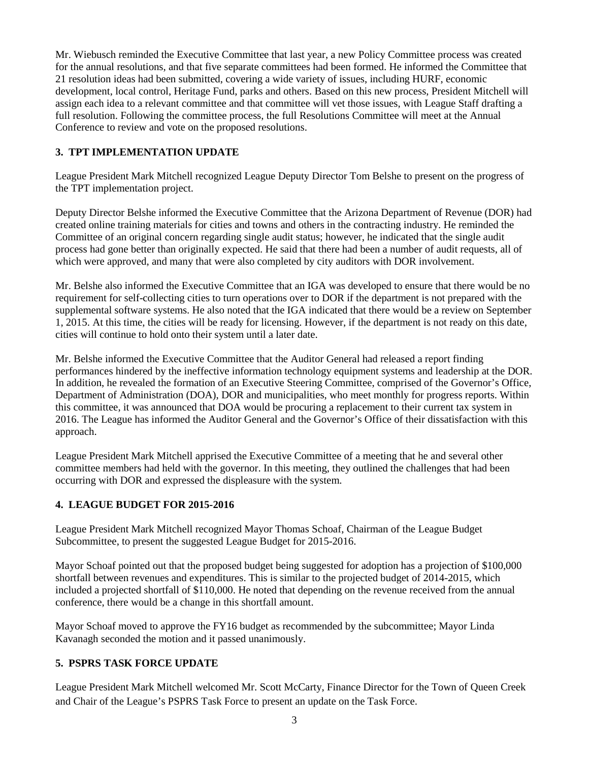Mr. Wiebusch reminded the Executive Committee that last year, a new Policy Committee process was created for the annual resolutions, and that five separate committees had been formed. He informed the Committee that 21 resolution ideas had been submitted, covering a wide variety of issues, including HURF, economic development, local control, Heritage Fund, parks and others. Based on this new process, President Mitchell will assign each idea to a relevant committee and that committee will vet those issues, with League Staff drafting a full resolution. Following the committee process, the full Resolutions Committee will meet at the Annual Conference to review and vote on the proposed resolutions.

### **3. TPT IMPLEMENTATION UPDATE**

League President Mark Mitchell recognized League Deputy Director Tom Belshe to present on the progress of the TPT implementation project.

Deputy Director Belshe informed the Executive Committee that the Arizona Department of Revenue (DOR) had created online training materials for cities and towns and others in the contracting industry. He reminded the Committee of an original concern regarding single audit status; however, he indicated that the single audit process had gone better than originally expected. He said that there had been a number of audit requests, all of which were approved, and many that were also completed by city auditors with DOR involvement.

Mr. Belshe also informed the Executive Committee that an IGA was developed to ensure that there would be no requirement for self-collecting cities to turn operations over to DOR if the department is not prepared with the supplemental software systems. He also noted that the IGA indicated that there would be a review on September 1, 2015. At this time, the cities will be ready for licensing. However, if the department is not ready on this date, cities will continue to hold onto their system until a later date.

Mr. Belshe informed the Executive Committee that the Auditor General had released a report finding performances hindered by the ineffective information technology equipment systems and leadership at the DOR. In addition, he revealed the formation of an Executive Steering Committee, comprised of the Governor's Office, Department of Administration (DOA), DOR and municipalities, who meet monthly for progress reports. Within this committee, it was announced that DOA would be procuring a replacement to their current tax system in 2016. The League has informed the Auditor General and the Governor's Office of their dissatisfaction with this approach.

League President Mark Mitchell apprised the Executive Committee of a meeting that he and several other committee members had held with the governor. In this meeting, they outlined the challenges that had been occurring with DOR and expressed the displeasure with the system.

## **4. LEAGUE BUDGET FOR 2015-2016**

League President Mark Mitchell recognized Mayor Thomas Schoaf, Chairman of the League Budget Subcommittee, to present the suggested League Budget for 2015-2016.

Mayor Schoaf pointed out that the proposed budget being suggested for adoption has a projection of \$100,000 shortfall between revenues and expenditures. This is similar to the projected budget of 2014-2015, which included a projected shortfall of \$110,000. He noted that depending on the revenue received from the annual conference, there would be a change in this shortfall amount.

Mayor Schoaf moved to approve the FY16 budget as recommended by the subcommittee; Mayor Linda Kavanagh seconded the motion and it passed unanimously.

## **5. PSPRS TASK FORCE UPDATE**

League President Mark Mitchell welcomed Mr. Scott McCarty, Finance Director for the Town of Queen Creek and Chair of the League's PSPRS Task Force to present an update on the Task Force.